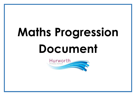# **Maths Progression Document**

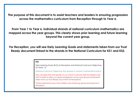**The purpose of this document is to assist teachers and leaders in ensuring progression across the mathematics curriculum from Reception through to Year 6.** 

**From Year 1 to Year 6, individual strands of national curriculum mathematics are mapped across the year groups. This clearly shows prior learning and future learning beyond the current year group.**

**For Reception, you will see Early Learning Goals and statements taken from our Trust Ready document linked to the strands in the National Curriculum for KS1 and KS2.** 

| <u>Key</u>                                                                                                                                                                                                          |
|---------------------------------------------------------------------------------------------------------------------------------------------------------------------------------------------------------------------|
| Early Learning Goals (ELG) for Reception and National Curriculum Objectives<br>for Years 1-6                                                                                                                        |
| National Curriculum Objectives that appear in another mathematical strand                                                                                                                                           |
| Key concepts that are specific to our school to ensure solid foundations are<br>built in order to allow successful progression across year groups (statements<br>taken from our Trust Ready document for Reception) |
| *These statements show that children are achieving above and beyond in<br>Reception                                                                                                                                 |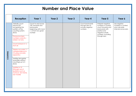#### **Number and Place Value**

|          | <b>Reception</b>                                                                                                                                                                                                                                                                                                                                                                                                                                        | Year 1                                                                                                           | Year 2 | Year 3 | Year 4                                                            | Year 5                                                                                                                                                    | Year 6                                                                        |
|----------|---------------------------------------------------------------------------------------------------------------------------------------------------------------------------------------------------------------------------------------------------------------------------------------------------------------------------------------------------------------------------------------------------------------------------------------------------------|------------------------------------------------------------------------------------------------------------------|--------|--------|-------------------------------------------------------------------|-----------------------------------------------------------------------------------------------------------------------------------------------------------|-------------------------------------------------------------------------------|
| COUNTING | Verbally count<br>beyond 20,<br>recognising the<br>pattern of the<br>counting system.<br>(ELG)<br>Pronounce teen<br>numbers correctly -<br>sixteen not sixty<br>Count to/back in 1s<br>from 20<br>Display accurate 1:1<br>correspondence to<br>10 using concrete<br>apparatus<br>Subitise (recognise<br>quantities without<br>counting) up to 5<br>(ELG)<br>Subitise to 10<br>(through use of<br>[patterns such as<br>numicon, ten frame,<br>bar model) | Count to and across<br>100, forwards and<br>backwards,<br>beginning with 0 and<br>1, or from any given<br>number |        |        | Count backwards<br>through zero to<br>include negative<br>numbers | Interpret negative<br>numbers in context,<br>count forwards and<br>backwards with<br>positive and<br>negative whole<br>numbers, including<br>through zero | Use negative<br>numbers in context,<br>and calculate<br>intervals across zero |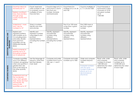|                                             | Count by rote in 2s<br>forwards past 10<br>Explore counting in<br>twos, fives and tens<br>through songs,<br>nursery rhymes and<br>stories<br><b>Understand 1 more</b>                                                                                                                                                               | Count, read and<br>write numbers to 100<br>in numerals; count in<br>multiplies of twos,<br>fives and tens<br>Given a number, | Count in steps of 2, 3,<br>and 5 from 0, and in<br>tens from any<br>number, forwards<br>and backwards                 | Count from 0 in<br>multiples of 3, 4, 8, 50<br>and 100<br>Find 10 or 100 more        | Count in multiples of<br>6, 7, 9, 25 and 1000<br>Find 1000 more or                                                                                       | Count forwards or<br>backwards in steps<br>of powers of 10 for<br>any given number<br>up to<br>1 000 000          |                                                                                                              |
|---------------------------------------------|-------------------------------------------------------------------------------------------------------------------------------------------------------------------------------------------------------------------------------------------------------------------------------------------------------------------------------------|------------------------------------------------------------------------------------------------------------------------------|-----------------------------------------------------------------------------------------------------------------------|--------------------------------------------------------------------------------------|----------------------------------------------------------------------------------------------------------------------------------------------------------|-------------------------------------------------------------------------------------------------------------------|--------------------------------------------------------------------------------------------------------------|
|                                             | and 1 less for<br>numbers to 10*                                                                                                                                                                                                                                                                                                    | identify one more<br>and one less                                                                                            |                                                                                                                       | or less than a given<br>number                                                       | less than a given<br>number                                                                                                                              |                                                                                                                   |                                                                                                              |
| IDENTIFYING, REPRESENTING AND<br>ESTIMATING | Explore and<br>represent patterns<br>with numbers up to<br>10, including evens<br>and odds, double<br>facts and how<br>quantities can be<br>distributed equally<br>(ELG)<br>Match numerals to<br>quantity up to 10<br>(including numbers<br>out of sequence)                                                                        | Identify and<br>represent numbers<br>using objects and<br>pictorial<br>representations<br>including the number<br>line       | Identify, represent<br>and estimate<br>numbers using<br>different<br>representations,<br>including the number<br>line | Identify, represent<br>and estimate<br>numbers using<br>different<br>representations | Identify, represent<br>and estimate<br>numbers using<br>different<br>representations                                                                     |                                                                                                                   |                                                                                                              |
| COMPARING NUMBERS                           | Compare quantities<br>up to 10 in different<br>contexts, recognising<br>when one quantity is<br>greater than, less<br>than or the same as<br>the other quantity<br>(ELG)<br><b>Understand and use</b><br>the vocabulary<br>more, most, greater<br>than, fewer, less than<br>and equals, the<br>same as with<br>quantities up to 10* | Use the language of:<br>equal to, more than,<br>less than (fewer),<br>most, least                                            | Compare and order<br>numbers from 0 up to<br>100; use $\lt$ , $>$ and =<br>signs                                      | Compare and order<br>numbers up to 1000                                              | Order and compare<br>numbers beyond<br>1000<br>Compare numbers<br>with the same<br>number of decimal<br>places up to wo<br>decimal places<br>(fractions) | Read, write, order<br>and compare<br>numbers to at least<br>1 000 000 and<br>determine the value<br>of each digit | Read, write, order<br>and compare<br>numbers up to<br>10 000 000 and<br>determine the value<br>of each digit |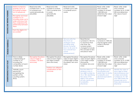| READING AND WRITING NUMBERS | Match numeral to<br>quantity up to 10<br>(including numbers<br>out of sequence)<br>Recognise and read<br>numbers to $10 -$<br>including when not in<br>order and show that<br>they understand the<br>relationship between<br>them<br>Form the digits 0-10<br>accurately* | Read and write<br>numbers from 1 to 20<br>in numerals and<br>words (phonetically<br>plausible) | Read and write<br>numbers to at least<br>100 in numerals and<br>in words<br>(phonetically<br>plausible)           | Read and write<br>numbers up to 1000<br>in numerals and in<br>words                                                                                                 |                                                                                                                                                                                           | Read, write, order<br>and compare<br>numbers to at least<br>1,000,000 and<br>determine the value<br>of each digit      | Read, write, order<br>and compare<br>numbers up to 10 000<br>000 and determine<br>the value of each<br>digit                                                                                             |
|-----------------------------|--------------------------------------------------------------------------------------------------------------------------------------------------------------------------------------------------------------------------------------------------------------------------|------------------------------------------------------------------------------------------------|-------------------------------------------------------------------------------------------------------------------|---------------------------------------------------------------------------------------------------------------------------------------------------------------------|-------------------------------------------------------------------------------------------------------------------------------------------------------------------------------------------|------------------------------------------------------------------------------------------------------------------------|----------------------------------------------------------------------------------------------------------------------------------------------------------------------------------------------------------|
| ROMAN NUMERALS              |                                                                                                                                                                                                                                                                          |                                                                                                |                                                                                                                   | Tell and write the<br>time from an<br>analogue clock,<br>including using<br>Roman numerals<br>from I to XII, and 12-<br>hour and 24-hour<br>clocks<br>(measurement) | Read Roman<br>numerals to 100 (I to<br>C) and know that<br>over time, the<br>numeral system<br>changed to include<br>the concept of zero<br>and place value                               | Read Roman<br>numerals to 1000 (M)<br>and recognise years<br>written in Roman<br>numerals                              |                                                                                                                                                                                                          |
|                             | Have a deep<br>understanding of<br>number to 10,<br>including the<br>composition of each<br>number (ELG)                                                                                                                                                                 | Recognise the place<br>value of digits in<br>numbers 1-20 (tens<br>and ones)                   | Recognise the place<br>value of each digit in<br>two-digit numbers<br>(tens and ones)<br>Partition into different | Recognise the place<br>value of each digit in<br>a three-digit number<br>(hundreds, tens and<br>ones)                                                               | Recognise the place<br>value of each digit in<br>a four-digit number<br>(thousands,<br>hundreds, tens and<br>ones)                                                                        | Read, write, order<br>and compare<br>numbers to at least<br>1 000 000 and<br>determine the value<br>of each digit      | Read, write, order<br>and compare<br>numbers up to 10 000<br>000 and determine<br>the value of each<br>digit                                                                                             |
| UNDERSTANDING PLACE VALUE   | Verbally count<br>beyond 20,<br>recognising the<br>pattern of the<br>counting system.<br>(ELG)                                                                                                                                                                           |                                                                                                | combinations of tens<br>and ones                                                                                  |                                                                                                                                                                     | Find the effect of<br>dividing a one or<br>two-digit number by<br>10 or 100, identifying<br>the value of the<br>digits in the answer<br>as units, tenths and<br>hundredths<br>(fractions) | Recognise and use<br>thousandths and<br>relate them to tenths,<br>hundredths and<br>decimal equivalents<br>(fractions) | Identify the value of<br>each digit to three<br>decimal places and<br>multiply and divide<br>numbers by 10, 100<br>and 1000 where the<br>answers are up to<br>three decimal places<br><i>(fractions)</i> |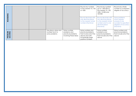|                    |                                                          |                                                                             | Round any number<br>to the nearest 10, 100<br>or 1000                                                                         | Round any number<br>up to 1 000 000 to<br>the nearest 10, 100,<br>1000, 10 000 and<br>100 000                                        | Round any whole<br>number to a required<br>degree of accuracy                                                         |
|--------------------|----------------------------------------------------------|-----------------------------------------------------------------------------|-------------------------------------------------------------------------------------------------------------------------------|--------------------------------------------------------------------------------------------------------------------------------------|-----------------------------------------------------------------------------------------------------------------------|
| ROUNDING           |                                                          |                                                                             | <b>Round decimals with</b><br>one decimal place<br>to the nearest whole<br>number (fractions)                                 | <b>Round decimals with</b><br>two decimal places<br>to the nearest whole<br>number and to one<br>decimal place<br><i>(fractions)</i> | Solve problems<br>which require<br>answers to be<br>rounded to specified<br>degrees of accuracy<br><i>(fractions)</i> |
| PROBLEM<br>SOLVING | Use place value and<br>number facts to<br>solve problems | Solve number<br>problems and<br>practical problems<br>involving these ideas | Solve number and<br>practical problems<br>that involve all of the<br>above and with<br>increasingly large<br>positive numbers | Solve number<br>problems and<br>practical problems<br>that include all of the<br>above                                               | Solve number and<br>practical problems<br>that include all of the<br>above                                            |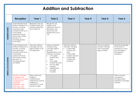#### **Addition and Subtraction**

|                            | <b>Reception</b>                                                                                                                                                                                                       | Year 1                                                                                                                                | Year <sub>2</sub>                                                                                                                                                                                                                                                                                                  | Year <sub>3</sub>                                                                                                                                                                                     | Year 4 | Year 5                                                                     | Year 6                                                                                                            |
|----------------------------|------------------------------------------------------------------------------------------------------------------------------------------------------------------------------------------------------------------------|---------------------------------------------------------------------------------------------------------------------------------------|--------------------------------------------------------------------------------------------------------------------------------------------------------------------------------------------------------------------------------------------------------------------------------------------------------------------|-------------------------------------------------------------------------------------------------------------------------------------------------------------------------------------------------------|--------|----------------------------------------------------------------------------|-------------------------------------------------------------------------------------------------------------------|
| NUMBER BONDS               | Automatically recall<br>(without reference to<br>rhymes, counting<br>and other aids)<br>number bonds up to<br>5 (including<br>subtraction facts)<br>and some number<br>bonds to 10,<br>including double<br>facts (ELG) | Represent and use<br>number bonds and<br>related subtraction<br>facts within 20                                                       | Recall and use<br>addition and<br>subtraction facts to<br>20 fluently, and<br>derive and use<br>related facts up to<br>100                                                                                                                                                                                         |                                                                                                                                                                                                       |        |                                                                            |                                                                                                                   |
| <b>MENTAL CALCULATIONS</b> | Automatically recall<br>(without reference to<br>rhymes, counting<br>and other aids)<br>number bonds up to<br>5 (including<br>subtraction facts)<br>and some number<br>bonds to 10,<br>including double<br>fact (ELG)  | Add and subtract<br>one-digit and two-<br>digit numbers to 20,<br>including zero                                                      | Add and subtract<br>numbers using<br>concrete objects,<br>pictorial<br>representations, and<br>mentally, including:<br>a two-digit<br>$\bullet$<br>number and<br>ones<br>a two-digit<br>$\bullet$<br>number and tens<br>two two-digit<br>$\bullet$<br>numbers<br>adding three<br>$\bullet$<br>one-digit<br>numbers | Add and subtract<br>mentally, including:<br>$\bullet$<br>a three-digit<br>number and<br>ones<br>$\bullet$<br>a three-digit<br>number and tens<br>a three-digit<br>$\bullet$<br>number and<br>hundreds |        | Add and subtract<br>numbers mentally<br>with increasingly<br>large numbers | Use their knowledge<br>of the order of<br>operations to carry<br>out calculations<br>involving four<br>operations |
|                            | Use the vocabulary<br>of addition and<br>subtraction including<br>comparison of<br>$quantities -$<br>altogether, add,<br>total, plus, more<br>than, take away,                                                         | Read, write and<br>interpret<br>mathematical<br>statements involving<br>addition $(+)$ ,<br>subtraction (-) and<br>equals $(=)$ signs |                                                                                                                                                                                                                                                                                                                    |                                                                                                                                                                                                       |        |                                                                            | Perform mental<br>calculations,<br>including mixed<br>operations and large<br>numbers                             |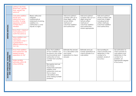|                                                                    | subtract, less than,<br>fewer than, greater<br>than, equals, the<br>same as*                                                                                                                                                                                                                             |                                                                                                                                       |                                                                                                                                                                                                                                                                                                                          |                                                                                                                                       |                                                                                                                                                           |                                                                                                                                                |                                                                                                                                                    |
|--------------------------------------------------------------------|----------------------------------------------------------------------------------------------------------------------------------------------------------------------------------------------------------------------------------------------------------------------------------------------------------|---------------------------------------------------------------------------------------------------------------------------------------|--------------------------------------------------------------------------------------------------------------------------------------------------------------------------------------------------------------------------------------------------------------------------------------------------------------------------|---------------------------------------------------------------------------------------------------------------------------------------|-----------------------------------------------------------------------------------------------------------------------------------------------------------|------------------------------------------------------------------------------------------------------------------------------------------------|----------------------------------------------------------------------------------------------------------------------------------------------------|
| WRITTEN METHODS                                                    | Calculate addition<br>bonds and<br>subtraction facts<br>to/within 10 using<br>apparatus and/or<br>number line if<br>needed<br>Know that $=$ means it<br>must balance or is<br>worth the same as<br>Solve addition and<br>subtraction<br>calculations when =<br>is presented in<br>different places (e.g. | Read, write and<br>interpret<br>mathematical<br>statements involving<br>addition $(+)$ ,<br>subtraction (-) and<br>equals $(=)$ signs |                                                                                                                                                                                                                                                                                                                          | Add and subtract<br>numbers with up to<br>three digits, using<br>formal written<br>methods of<br>columnar addition<br>and subtraction | Add and subtract<br>numbers with up to 4<br>digits using the<br>formal written<br>methods of<br>columnar addition<br>and subtraction<br>where appropriate | Add and subtract<br>whole numbers with<br>more than 4 digits,<br>including formal<br>written methods<br>(columnar addition<br>and subtraction) |                                                                                                                                                    |
| ESTIMATING<br>INVERSE OPERATIONS, ESTIMATI<br>AND CHECKING ANSWERS | $10=7+3$<br>Know that addition<br>and subtraction are<br>related (inverse<br>operations to 10)*<br>Make sensible<br>estimates within 20<br>using subitising                                                                                                                                              |                                                                                                                                       | Show that addition<br>of two numbers can<br>be done in any order<br>(commutative) and<br>subtraction of one<br>number from another<br>cannot<br>Recognise and use<br>the inverse<br>relationship between<br>addition and<br>subtraction and use<br>this to check<br>calculations and<br>solve missing number<br>problems | Estimate the answer<br>to a calculation and<br>use inverse<br>operations to check<br>answers                                          | Estimate and use<br>inverse operations to<br>check answers to a<br>calculation                                                                            | Use rounding to<br>check answers and<br>determine, in the<br>context of a<br>problem, levels of<br>accuracy                                    | Use estimation to<br>check answers to<br>calculations and<br>determine, in the<br>context of a<br>problem, an<br>appropriate degree<br>of accuracy |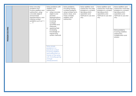| PROBLEM SOLVING | Solve one-step<br>problems that<br>involve addition and<br>subtraction, using<br>concrete objects<br>and pictorial<br>representations, and<br>missing number<br>problems such as $7 =$<br>$- -9$ | Solve problems with<br>addition and<br>subtraction:<br>using concrete<br>$\bullet$<br>objects and<br>pictorial<br>representations,<br>including those<br>involving<br>numbers,<br>quantities and<br>measures<br>applying their<br>$\bullet$<br>increasing<br>knowledge of<br>mental and<br>written methods | Solve problems,<br>including missing<br>number problems,<br>using number facts,<br>place value, and<br>more complex<br>addition and<br>subtraction | Solve addition and<br>subtraction two-step<br>problems in contexts,<br>deciding which<br>operation and<br>methods to use and<br>why | Solve addition and<br>subtraction multi-step<br>problems in contexts,<br>deciding which<br>operations and<br>methods to use and<br>why | Solve addition and<br>subtraction multi-step<br>problems in contexts,<br>deciding which<br>operations and<br>methods to use and<br>why<br>Solve problems<br>involving addition,<br>subtraction,<br>multiplication and<br>division |
|-----------------|--------------------------------------------------------------------------------------------------------------------------------------------------------------------------------------------------|------------------------------------------------------------------------------------------------------------------------------------------------------------------------------------------------------------------------------------------------------------------------------------------------------------|----------------------------------------------------------------------------------------------------------------------------------------------------|-------------------------------------------------------------------------------------------------------------------------------------|----------------------------------------------------------------------------------------------------------------------------------------|-----------------------------------------------------------------------------------------------------------------------------------------------------------------------------------------------------------------------------------|
|                 |                                                                                                                                                                                                  | Solve simple<br>problems in a<br>practical context<br>involving addition<br>and subtraction of<br>money of the same<br>unit, including giving<br>change<br>(measurement)                                                                                                                                   |                                                                                                                                                    |                                                                                                                                     |                                                                                                                                        |                                                                                                                                                                                                                                   |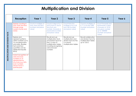# **Multiplication and Division**

|                                   | <b>Reception</b>                                                                                                                                                            | Year 1                                                                       | Year 2                                                                                                                                                            | Year 3                                                                                               | Year 4                                                                                    | Year 5                                                                                                                              | Year 6 |
|-----------------------------------|-----------------------------------------------------------------------------------------------------------------------------------------------------------------------------|------------------------------------------------------------------------------|-------------------------------------------------------------------------------------------------------------------------------------------------------------------|------------------------------------------------------------------------------------------------------|-------------------------------------------------------------------------------------------|-------------------------------------------------------------------------------------------------------------------------------------|--------|
|                                   | Explore counting in<br>twos, fives and tens<br>through songs,<br>nursery rhymes and<br>stories                                                                              | Count in multiples of<br>twos, fives and tens<br>(number and place<br>valuel | Count in steps of 2, 3<br>and 5 from 0, and in<br>tens from any<br>number, forwards or<br>backwards (number<br>and place value)                                   | Count from 0 in<br>multiples of 4, 8, 50<br>and 100 (number<br>and place value)                      | Count in multiples of<br>6, 7, 9, 25 and 1000<br>(number and place<br>valuel              | Count forwards and<br>backwards in steps<br>of powers of 10 for<br>any given number<br>up to 1000000<br>(number and place<br>value) |        |
| MULTIPLICATION AND DIVISION FACTS | Explore and<br>represent patterns<br>within numbers up to<br>10, including evens<br>and odds, doubles<br>facts and how<br>quantities can be<br>distributed equally<br>(ELG) |                                                                              | Recall and use<br>multiplication facts<br>and division facts for<br>the 2, 5 and 10<br>multiplication tables,<br>including recognising<br>odd and even<br>numbers | Recall and use<br>multiplication and<br>division facts for the<br>3.4 and 8<br>multiplication tables | Recall multiplication<br>and division facts for<br>multiplication tables<br>up to $12x12$ |                                                                                                                                     |        |
|                                   | Instant recognition of<br>odd and even<br>numbers to 10<br>represented by<br>structures e.g. dots,<br>even numbers<br>always have a<br>partner/pairs                        |                                                                              |                                                                                                                                                                   |                                                                                                      |                                                                                           |                                                                                                                                     |        |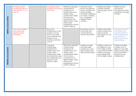| <b>MENTAL CALCULATION</b>  | Mentally, quickly<br>recall all doubles to 5<br>and half of 2, 4, 6, 8<br>and $10*$ | Can quickly recall<br>doubling and halving<br>facts to 20                                                                                                                                                       | Write and calculate<br>mathematical<br>statements for<br>multiplication and<br>division using<br>multiplication tables<br>that we know,<br>including for two-<br>digit numbers, using<br>mental and<br>progressing to formal<br>written methods | Use place value,<br>known and derived<br>facts to multiply and<br>divide mentally,<br>including: multiplying<br>by 0 and 1; dividing<br>by 1; multiplying<br>together three<br>numbers | Multiply and divide<br>numbers mentally<br>drawing upon known<br>facts                                                                                             | Perform mental<br>calculations,<br>including with mixed<br>operations and large<br>numbers                                                                         |
|----------------------------|-------------------------------------------------------------------------------------|-----------------------------------------------------------------------------------------------------------------------------------------------------------------------------------------------------------------|-------------------------------------------------------------------------------------------------------------------------------------------------------------------------------------------------------------------------------------------------|----------------------------------------------------------------------------------------------------------------------------------------------------------------------------------------|--------------------------------------------------------------------------------------------------------------------------------------------------------------------|--------------------------------------------------------------------------------------------------------------------------------------------------------------------|
|                            | Know that doubling<br>and halving are<br>related (inverse<br>operation)             | Show that<br>multiplication of two<br>numbers can be<br>done in any order<br>(commutative) and<br>division of one<br>number by another<br>cannot                                                                |                                                                                                                                                                                                                                                 | Recognise and use<br>factor pairs and<br>commutativity in<br>mental calculations                                                                                                       | Multiply and divide<br>whole numbers and<br>those involving<br>decimals by 10, 100<br>and 1000                                                                     | Associate a fraction<br>with division and<br>calculate decimal<br>fraction equivalents<br>(e.g. 0.375) for a<br>simple fraction (e.g.<br>$\frac{3}{2}$ (fractions) |
| <b>WRITTEN CALCULATION</b> |                                                                                     | Calculate<br>multiplication<br>statements for<br>multiplication and<br>division within<br>multiplication tables<br>and write them using<br>the multiplication (x),<br>division $(\div)$ and<br>equals (=) signs | Write and calculate<br>mathematical<br>statements for<br>multiplication and<br>division using<br>multiplication tables<br>that we know,<br>including for two-<br>digit numbers, using<br>mental and<br>progressing to formal<br>written methods | Multiply two-digit<br>and three-digit<br>numbers by a one-<br>digit number using<br>formal written layout                                                                              | Multiply numbers up<br>to 4 digits by a one-<br>or two-digit number<br>using a formal written<br>method, including<br>long multiplication<br>for two-digit numbers | Multiply multi-digit<br>numbers up to 4<br>digits by a two-digit<br>whole number using<br>the formal written<br>method of long<br>multiplication                   |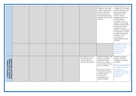|                                                                                  |  |  |                                                                                  | Divide numbers up to<br>4 digits by one-digit<br>number using formal<br>written method of<br>short division and<br>interpret remainders<br>appropriately for the<br>context | Divide numbers up to<br>4-digits by a two-digit<br>whole number using<br>the formal written<br>method of short<br>division where<br>appropriate for the<br>context divide<br>numbers up to 4<br>digits by a two-digit<br>whole number using<br>the formal written<br>method of long<br>division, and interpret<br>remainders as whole<br>number remainders,<br>fractions, or by<br>rounding, as<br>appropriate for the<br>context |
|----------------------------------------------------------------------------------|--|--|----------------------------------------------------------------------------------|-----------------------------------------------------------------------------------------------------------------------------------------------------------------------------|-----------------------------------------------------------------------------------------------------------------------------------------------------------------------------------------------------------------------------------------------------------------------------------------------------------------------------------------------------------------------------------------------------------------------------------|
|                                                                                  |  |  |                                                                                  |                                                                                                                                                                             | Use written division<br>methods in cases<br>where the answer<br>has up to two<br>decimal places<br>(fractions)                                                                                                                                                                                                                                                                                                                    |
| PROPERTIES OF NUMBERS:<br>MULTIPLES, FACTORS, PRIMES,<br>SQUARE AND CUBE NUMBERS |  |  | Recognise and use<br>factor pairs and<br>commutativity in<br>mental calculations | Identify multiples and<br>factors, including<br>finding all factor<br>pairs of a number,<br>and common factors<br>of two numbers.                                           | Identify common<br>factors, common<br>multiples and prime<br>numbers<br>Use common factors<br>to simplify fractions;                                                                                                                                                                                                                                                                                                              |
|                                                                                  |  |  |                                                                                  | Know and use the<br>vocabulary of prime<br>numbers, prime<br>factors and<br>composite (non -<br>prime) numbers                                                              | use common<br>multiples to express<br>fractions in the same<br>denomination<br>(fractions)                                                                                                                                                                                                                                                                                                                                        |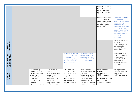|                                                           |                                                                                                                                                                        |                                                                                                                                                                                  |                                                                                                                                                                   |                                                                                                                                                                                               | Establish whether a<br>number up to 100 is<br>prime and recall<br>prime numbers up to<br>19                                                           |                                                                                                                                                                                                                                                |
|-----------------------------------------------------------|------------------------------------------------------------------------------------------------------------------------------------------------------------------------|----------------------------------------------------------------------------------------------------------------------------------------------------------------------------------|-------------------------------------------------------------------------------------------------------------------------------------------------------------------|-----------------------------------------------------------------------------------------------------------------------------------------------------------------------------------------------|-------------------------------------------------------------------------------------------------------------------------------------------------------|------------------------------------------------------------------------------------------------------------------------------------------------------------------------------------------------------------------------------------------------|
|                                                           |                                                                                                                                                                        |                                                                                                                                                                                  |                                                                                                                                                                   |                                                                                                                                                                                               | Recognise and use<br>square numbers and<br>cube numbers, and<br>the notation for<br>squared (2) and<br>cubed $(3)$                                    | Calculate, estimate<br>and compare<br>volume of cubes and<br>cuboids using<br>standard units,<br>including centimetre<br>cubed $/cm3$ ) and<br>cubic metres $(m3)$ ,<br>and extending to<br>other units such as<br>mm 3 and km 3<br>(measures) |
| <b>OPERATIONS</b><br>ORDER OF                             |                                                                                                                                                                        |                                                                                                                                                                                  |                                                                                                                                                                   |                                                                                                                                                                                               |                                                                                                                                                       | Use their knowledge<br>of the order of<br>operations to carry<br>out calculations<br>involving the four<br>operations                                                                                                                          |
| INVERSE OPERATIONS,<br>ESTIMATING AND<br>CHECKING ANSWERS |                                                                                                                                                                        |                                                                                                                                                                                  | <b>Estimate the answer</b><br>to a calculation and<br>use inverse<br>operations to check<br>answers (Addition<br>and Subtraction)                                 | estimate and use<br>inverse operations to<br>check answers to a<br>calculation (Addition<br>and Subtraction)                                                                                  |                                                                                                                                                       | Use estimation to<br>check answers to<br>calculations and<br>determine, in the<br>context of a<br>problem, levels of<br>accuracy                                                                                                               |
| PROBLEM<br>SOLVING                                        | Solve one-step<br>problems involving<br>multiplication and<br>division, by<br>calculating the<br>answer using<br>concrete objects,<br>pictorial<br>representations and | Solve problems<br>involving<br>multiplication and<br>division, using<br>materials, arrays,<br>repeated addition,<br>mental methods,<br>and multiplication<br>and division facts, | Solve problems,<br>including missing<br>number problems,<br>involving<br>multiplication and<br>division, including<br>positive integer<br>scaling problems<br>and | Solve problems<br>involving multiplying<br>and adding,<br>including using the<br>distributive law to<br>multiply two digit<br>numbers by one<br>digit, integer scaling<br>problems and harder | Solve problems<br>involving<br>multiplication and<br>division including<br>using their<br>knowledge of factors<br>and multiples,<br>squares and cubes | Solve problems<br>involving addition,<br>subtraction,<br>multiplication and<br>division                                                                                                                                                        |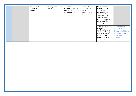|  | arrays with the<br>support of the<br>teacher | including problems in<br>contexts | correspondence<br>problems in which n<br>objects are<br>connected to m<br>objects | correspondence<br>problems such as n<br>objects are<br>connected to m<br>objects | Solve problems<br>involving addition,<br>subtraction,<br>multiplication and<br>division and a<br>combination of<br>these, including<br>understanding the<br>meaning of the<br>equals sign |                                                                                                                                  |
|--|----------------------------------------------|-----------------------------------|-----------------------------------------------------------------------------------|----------------------------------------------------------------------------------|-------------------------------------------------------------------------------------------------------------------------------------------------------------------------------------------|----------------------------------------------------------------------------------------------------------------------------------|
|  |                                              |                                   |                                                                                   |                                                                                  | Solve problems<br>involving<br>multiplication and<br>division, including<br>scaling by simple<br>fractions and<br>problems involving<br>simple rates                                      | Solve problems<br>involving similar<br>shapes where the<br>scale factor is known<br>or can be found<br>(Ratio and<br>Proportion) |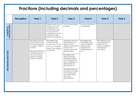#### **Fractions (including decimals and percentages)**

|                                 | <b>Reception</b> | Year 1                                                                                                                                                                                                             | Year 2                                                                                                                                                                             | Year <sub>3</sub>                                                                                                                                                                                                                                                                                                                                                                                                              | Year 4                                                                                                              | Year 5                                                                                                     | Year 6 |
|---------------------------------|------------------|--------------------------------------------------------------------------------------------------------------------------------------------------------------------------------------------------------------------|------------------------------------------------------------------------------------------------------------------------------------------------------------------------------------|--------------------------------------------------------------------------------------------------------------------------------------------------------------------------------------------------------------------------------------------------------------------------------------------------------------------------------------------------------------------------------------------------------------------------------|---------------------------------------------------------------------------------------------------------------------|------------------------------------------------------------------------------------------------------------|--------|
| COUNTING IN<br>FRACTIONAL STEPS |                  |                                                                                                                                                                                                                    | Pupils should count in<br>fractions up to 10,<br>starting from any<br>number and using<br>the 1/2 and 2/4<br>equivalence on the<br>number line (Non-<br><b>Statutory Guidance)</b> | Count up and down<br>in tenths                                                                                                                                                                                                                                                                                                                                                                                                 | Count up and down<br>in hundredths                                                                                  |                                                                                                            |        |
| RECOGNISING FRACTIONS           |                  | Recognise, find and<br>name a half as one<br>of two equal parts of<br>an object, shape or<br>quantity<br>Recognise, find and<br>name a quarter as<br>one of four equal<br>parts of an object,<br>shape or quantity | Recognise, find,<br>name and write<br>fractions $\frac{1}{3}$ , $\frac{1}{4}$ , $\frac{2}{4}$<br>and $\frac{3}{4}$ of a length,<br>shape, set of objects<br>or quantity            | Recognise, find and<br>write fractions of a<br>discrete set of<br>objects: unit fractions<br>and non-unit<br>fractions with small<br>denominators<br>Recognise that<br>tenths arise from<br>dividing an object<br>into 10 equal parts<br>and in dividing one -<br>digit numbers or<br>quantities by 10<br>Recognise and use<br>fractions as numbers:<br>unit fractions and<br>non-unit fractions<br>with small<br>denominators | Recognise that<br>hundredths arise<br>when dividing an<br>object by one<br>hundred and<br>dividing tenths by<br>ten | Recognise and use<br>thousandths and<br>relate them to<br>tenths, hundredths<br>and decimal<br>equivalents |        |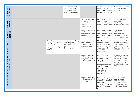| <b>COMPARING<br/>FRACTIONS</b>                                        |  |                                                                                                                         | Compare and order<br>unit fractions, and<br>fractions with the<br>same denominators          |                                                                                                | Compare and order<br>fractions whose<br>denominators are all<br>multiples of the same<br>number                                                                                                    | Compare and order<br>fractions, including<br>fractions >1                                                                                              |
|-----------------------------------------------------------------------|--|-------------------------------------------------------------------------------------------------------------------------|----------------------------------------------------------------------------------------------|------------------------------------------------------------------------------------------------|----------------------------------------------------------------------------------------------------------------------------------------------------------------------------------------------------|--------------------------------------------------------------------------------------------------------------------------------------------------------|
| <b>COMPARING<br/>DECIMALS</b>                                         |  |                                                                                                                         |                                                                                              | Compare numbers<br>with the same<br>number of decimal<br>places up to two<br>decimal places    | Read, write, order<br>and compare<br>numbers with up to<br>three decimal places                                                                                                                    | Identify the value of<br>each digit in<br>numbers given to<br>three decimal places                                                                     |
| ROUNDING<br>INCLUDING<br>DECIMALS                                     |  |                                                                                                                         |                                                                                              | Round decimals with<br>one decimal place<br>to the nearest whole<br>number                     | Round decimals with<br>two decimal places<br>to the nearest whole<br>number and to one<br>decimal place                                                                                            | Solve problems<br>which require<br>answers to be<br>rounded to specified<br>degrees of accuracy                                                        |
|                                                                       |  | Write simple fractions<br>e.g. $\frac{1}{6}$ of 6 = 3 and<br>recognise the<br>equivalence of $\frac{2}{4}$<br>and $1/2$ | Recognise and show,<br>using diagrams,<br>equivalent fractions<br>with small<br>denominators | Recognise and show,<br>using diagrams,<br>families of common<br>equivalent fractions           | Identify, name and<br>write equivalent<br>fractions of a given<br>fraction, represented<br>visually, including<br>tenths and<br>hundredths                                                         | Use common factors<br>to simplify fractions;<br>use common<br>multiples to express<br>fractions in the same<br>denomination                            |
| EQUIVALENCE (INCLUDING FRACTIONS, DECIMALS AND<br><b>PERCENTAGES)</b> |  |                                                                                                                         |                                                                                              | Recognise and write<br>decimal equivalents<br>of any number of<br>tenths or hundredths         | Read and write<br>decimal numbers as<br>fractions (e.g. $0.71 =$<br>$^{71}/_{100}$ )<br>Recognise and use<br>thousandths and<br>relate them to<br>tenths, hundredths<br>and decimal<br>equivalents | Associate a fraction<br>with division and<br>calculate decimal<br>fraction equivalents<br>(e.g. 0.375) for a<br>simple fraction (e.g.<br>$^{3}/_{4}$ ) |
|                                                                       |  |                                                                                                                         |                                                                                              | Recognise and write<br>decimals equivalent<br>to $\frac{1}{4}$ ; $\frac{1}{2}$ ; $\frac{3}{4}$ | Recognise the per<br>cent symbol (%) and<br>understand that per<br>cent relates to<br>"number of parts per<br>hundred", and write<br>percentages as a                                              | Recall and use<br>equivalences<br>between simple<br>fractions, decimals<br>and percentages,<br>including in different<br>contexts                      |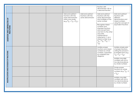|                                          |  |                                                                                                            |                                                            | fraction with<br>denominator 100 as<br>a decimal fraction                                                                                                                                                                                    |                                                                                                                                                     |
|------------------------------------------|--|------------------------------------------------------------------------------------------------------------|------------------------------------------------------------|----------------------------------------------------------------------------------------------------------------------------------------------------------------------------------------------------------------------------------------------|-----------------------------------------------------------------------------------------------------------------------------------------------------|
|                                          |  | Add and subtract<br>fractions with the<br>same denominator<br>within one whole<br>$(e.g. 5/7 + 1/7 = 6/7)$ | Add and subtract<br>fractions with the<br>same denominator | Add and subtract<br>fractions with the<br>same denominator<br>and multiples of the<br>same number                                                                                                                                            | Add and subtract<br>fractions with<br>different<br>denominators and<br>mixed numbers,<br>using the concept of                                       |
| ADDITION AND SUBTRACTIN OF<br>FRACTIONS  |  |                                                                                                            |                                                            | Recognise mixed<br>numbers and<br>improper fractions<br>and convert from<br>one form to the other<br>and write<br>mathematical<br>statements >1 as a<br>mixed number (e.g.<br>$\frac{2}{5} + \frac{4}{5} = \frac{6}{5} = 1$<br>$\frac{1}{5}$ | equivalent fractions                                                                                                                                |
|                                          |  |                                                                                                            |                                                            | Multiply proper<br>fractions and mixed<br>numbers by whole<br>numbers, supported<br>by materials and<br>diagrams                                                                                                                             | Multiply simple pairs<br>of proper fractions,<br>writing the answer in<br>its simplest form (e.g.<br>$\frac{1}{4} \times \frac{1}{2} = \frac{1}{8}$ |
|                                          |  |                                                                                                            |                                                            |                                                                                                                                                                                                                                              | Multiply one-digit<br>numbers with up to<br>two decimal places<br>by whole numbers                                                                  |
| MULTIPLICATION AND DIVISION OF FRACTIONS |  |                                                                                                            |                                                            |                                                                                                                                                                                                                                              | Divide proper<br>fractions by whole<br>numbers (e.g. $\frac{1}{3} \div 2$<br>$=$ $\frac{1}{6}$                                                      |
|                                          |  |                                                                                                            |                                                            |                                                                                                                                                                                                                                              | Multiply one-digit<br>numbers with up to<br>two decimal places<br>by whole numbers                                                                  |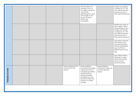|                 |  |                                                    | Find the effect of<br>dividing a one- or<br>two-digit number by<br>10 and 100,<br>identifying the value<br>of the digits in the<br>answer as ones,<br>tenths and<br>hundredths                                 |                                                                      | Multiply and divide<br>numbers by 10, 100<br>and 1000 where the<br>answers are up to<br>three decimal places                                                                       |
|-----------------|--|----------------------------------------------------|----------------------------------------------------------------------------------------------------------------------------------------------------------------------------------------------------------------|----------------------------------------------------------------------|------------------------------------------------------------------------------------------------------------------------------------------------------------------------------------|
|                 |  |                                                    |                                                                                                                                                                                                                |                                                                      | Identify the value of<br>each digit to three<br>decimal places and<br>multiply and divide<br>numbers by 10, 100<br>and 1000 where the<br>answers are up to<br>three decimal places |
|                 |  |                                                    |                                                                                                                                                                                                                |                                                                      | Associate a fraction<br>with division and<br>calculate decimal<br>fraction equivalents<br>(e.g. 0.375 for a<br>simple fraction (e.g.<br>$^{3}/_{8}$ )                              |
|                 |  |                                                    |                                                                                                                                                                                                                |                                                                      | Use written division<br>methods in cases<br>where the answer<br>has up to two<br>decimal places                                                                                    |
| PROBLEM SOLVING |  | Solve problems that<br>involve all of the<br>above | Solve problems<br>involving increasingly<br>harder fractions to<br>calculate quantities,<br>and fractions to<br>divide quantities,<br>including non-unit<br>fractions where the<br>answer is a whole<br>number | Solve problems<br>involving numbers up<br>to three decimal<br>places |                                                                                                                                                                                    |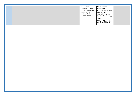|  |  |  | Solve simple<br>measure and money<br>problems involving<br>fractions and<br>decimals to two<br>decimal places | Solve problems<br>which require<br>knowing percentage<br>and decimal<br>equivalents of $1/2$ ,<br>$\frac{1}{4}$ , $\frac{1}{5}$ , $\frac{2}{5}$ , $\frac{4}{5}$ and<br>those with a<br>denominator of a<br>multiple of 10 or 25 |  |
|--|--|--|---------------------------------------------------------------------------------------------------------------|---------------------------------------------------------------------------------------------------------------------------------------------------------------------------------------------------------------------------------|--|
|--|--|--|---------------------------------------------------------------------------------------------------------------|---------------------------------------------------------------------------------------------------------------------------------------------------------------------------------------------------------------------------------|--|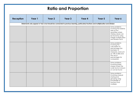# **Ratio and Proportion**

| <b>Reception</b> | Year 1                                                                                                                                | Year 2 | Year 3 | Year 4 | Year 5 | Year 6                                                                                                                                                                          |  |  |
|------------------|---------------------------------------------------------------------------------------------------------------------------------------|--------|--------|--------|--------|---------------------------------------------------------------------------------------------------------------------------------------------------------------------------------|--|--|
|                  | Statements only appear in Year 6 but should be connected to previous learning, particularly fractions and multiplication and division |        |        |        |        |                                                                                                                                                                                 |  |  |
|                  |                                                                                                                                       |        |        |        |        | Solve problems<br>involving the relative<br>sizes of two<br>quantities where<br>missing values can<br>be found by using<br>integer multiplication<br>and division facts         |  |  |
|                  |                                                                                                                                       |        |        |        |        | Solve problems<br>involving the<br>calculation of<br>percentages [for<br>example, of<br>measures, and such<br>as 15% of 360] and<br>the use of<br>percentages for<br>comparison |  |  |
|                  |                                                                                                                                       |        |        |        |        | Solve problems<br>involving similar<br>shapes where the<br>scale factor is known<br>or can be found                                                                             |  |  |
|                  |                                                                                                                                       |        |        |        |        | Solve problems<br>involving unequal<br>sharing and<br>grouping using<br>knowledge of<br>fractions and<br>multiples                                                              |  |  |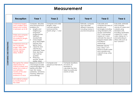#### **Measurement**

|                          | <b>Reception</b>                                                                                                                                                                                                                                                                                                | Year 1                                                                                                                                                                                                                                                                                                                                                                                                                                             | Year 2                                                                                                  | Year <sub>3</sub>                                                                                                 | Year 4                                                                                              | Year 5                                                                                                                                                                                                                                                                                                                                                                                            | Year 6                                                                                                                                                                                                                                        |
|--------------------------|-----------------------------------------------------------------------------------------------------------------------------------------------------------------------------------------------------------------------------------------------------------------------------------------------------------------|----------------------------------------------------------------------------------------------------------------------------------------------------------------------------------------------------------------------------------------------------------------------------------------------------------------------------------------------------------------------------------------------------------------------------------------------------|---------------------------------------------------------------------------------------------------------|-------------------------------------------------------------------------------------------------------------------|-----------------------------------------------------------------------------------------------------|---------------------------------------------------------------------------------------------------------------------------------------------------------------------------------------------------------------------------------------------------------------------------------------------------------------------------------------------------------------------------------------------------|-----------------------------------------------------------------------------------------------------------------------------------------------------------------------------------------------------------------------------------------------|
| COMPARING AND ESTIMATING | <b>Understand largest,</b><br>most, smallest, least,<br>fewest and number<br>in between up to 20<br>Order and compare<br>up to 3 objects<br>according to length,<br>height, mass*<br>Understand and use<br>the vocabulary<br>longer, taller, wider,<br>shorter, narrower,<br>heavier, lighter,<br>deep, shallow | Compare, describe<br>and solve practical<br>problems for:<br>lengths and<br>$\bullet$<br>heights [e.g.<br>long/short,<br>longer/shorter,<br>tall/short,<br>double/half]<br>mass/weight<br>$\bullet$<br>[e.g. heavy/light,<br>heavier than,<br>lighter than]<br>capacity and<br>$\bullet$<br>volume [e.g.<br>full/empty, more<br>than, less than,<br>half, half full,<br>quarter]<br>time [e.g.<br>$\bullet$<br>quicker, slower,<br>earlier, later] | Compare and order<br>lengths, mass,<br>volume/capacity<br>and record the<br>results using $>$ , $<$ and |                                                                                                                   | Estimate, compare<br>and calculate<br>different measures,<br>including money in<br>pounds and pence | Calculate and<br>compare the area of<br>squares and<br>rectangles including<br>using standard units,<br>square centimetres<br>(cm <sup>2</sup> ) and square<br>metres $(m2)$ and<br>estimate the area of<br>irregular shapes (also<br>included in<br>measuring)<br>Estimate volume<br>(e.g. using $1 \text{ cm}^3$<br>blocks to build cubes<br>and cuboids) and<br>capacity (e.g. using<br>water) | Calculate, estimate<br>and compare<br>volume of cubes and<br>cuboids using<br>standard units,<br>including centimetre<br>cubed $(cm3)$ and<br>cubic metres $(m3)$ ,<br>and extending to<br>other units such as<br>mm <sup>3</sup> and $km3$ . |
|                          | Recognise the verbal<br>abbreviation for<br>ordinal numbers and<br>relate this to date of<br>own birthday,<br>months of the year<br>and finishing<br>positions in a race<br>Link ordinal numbers<br>to months/days of<br>the week                                                                               | Sequence events in<br>chronological order<br>using language [e.g.<br>before and after,<br>next, first, today,<br>yesterday, tomorrow,<br>morning, afternoon<br>and evening]                                                                                                                                                                                                                                                                        | Compare and<br>sequence intervals of<br>time                                                            | Compare durations<br>of events, for<br>example to<br>calculate the time<br>taken by particular<br>events or tasks |                                                                                                     |                                                                                                                                                                                                                                                                                                                                                                                                   |                                                                                                                                                                                                                                               |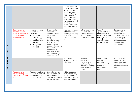|                           |                                                                                                               |                                                                                                                                                                                                                 |                                                                                                                                                                                                                                                                                                  | Estimate and read<br>time with increasing<br>accuracy to the<br>nearest minute;<br>record and compare<br>time in terms of<br>seconds, minutes,<br>hours and o'clock;<br>use vocabulary such<br>as a.m./p.m.,<br>morning, afternoon,<br>noon and midnight |                                                                                                                             |                                                                                                                                                              |                                                                                                                                                                          |
|---------------------------|---------------------------------------------------------------------------------------------------------------|-----------------------------------------------------------------------------------------------------------------------------------------------------------------------------------------------------------------|--------------------------------------------------------------------------------------------------------------------------------------------------------------------------------------------------------------------------------------------------------------------------------------------------|----------------------------------------------------------------------------------------------------------------------------------------------------------------------------------------------------------------------------------------------------------|-----------------------------------------------------------------------------------------------------------------------------|--------------------------------------------------------------------------------------------------------------------------------------------------------------|--------------------------------------------------------------------------------------------------------------------------------------------------------------------------|
| MEASURING AND CALCULATING | Begin to use non-<br>standard units to<br>measure objects e.g.<br>cubes, wooden<br>planks, buckets,<br>spoons | Measure and begin<br>to record the<br>following:<br>lengths and<br>$\bullet$<br>heights<br>mass/weight<br>$\bullet$<br>capacity and<br>$\bullet$<br>volume<br>time (hours,<br>$\bullet$<br>minutes,<br>seconds) | Choose and use<br>appropriate<br>standard units to<br>estimate and<br>measure<br>length/height in any<br>direction (m/cm);<br>mass (kg/g);<br>temperature (°C);<br>capacity (litres/ml) to<br>the nearest<br>appropriate unit,<br>using rulers, scales,<br>thermometers and<br>measuring vessels | Measure, compare,<br>add and subtract:<br>lengths (m/cm/mm);<br>mass (kg/g);<br>volume/capacity<br>(1/ml)                                                                                                                                                | Estimate, compare<br>and calculate<br>different measures,<br>including money in<br>pounds and pence                         | Use all four<br>operations to solve<br>problems involving<br>measure (e.g. length,<br>mass, volume,<br>money) using<br>decimal notation<br>including scaling | Solve problems<br>involving the<br>calculation and<br>conversion of units of<br>measure, using<br>decimal notation up<br>to three decimal<br>places where<br>appropriate |
|                           |                                                                                                               |                                                                                                                                                                                                                 |                                                                                                                                                                                                                                                                                                  | Measure the<br>perimeter of simple<br>2-D shapes                                                                                                                                                                                                         | Measure and<br>calculate the<br>perimeter of a<br>rectilinear figure<br>(including squares) in<br>centimetres and<br>metres | Measure and<br>calculate the<br>perimeter of<br>composite rectilinear<br>shapes in<br>centimetres and<br>metres                                              | Recognise that<br>shapes with the<br>same areas can<br>have different<br>perimeters and vice<br>versa                                                                    |
|                           | Recognise and<br>calculate using coins<br>- 1p, 2p, 5p, 10p and<br>20p                                        | Recognise and know<br>the value of different<br>denominations of<br>coins and notes                                                                                                                             | Recognise and use<br>symbols for pounds<br>$(f)$ and pence $(p)$ ;<br>combine amounts to<br>make a particular<br>value                                                                                                                                                                           | Add and subtract<br>amounts of money<br>to give change,<br>using both £ and p in<br>practical contexts                                                                                                                                                   |                                                                                                                             |                                                                                                                                                              |                                                                                                                                                                          |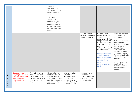|                  |                                                                                                                   |                                                                                                                        | Find different<br>combinations of<br>coins that equal the<br>same amounts of<br>money<br>Solve simple<br>problems in a<br>practical context<br>involving addition<br>and subtraction of<br>money of the same<br>unit, including giving<br>change |                                                                                                                                                    |                                                                                             |                                                                                                                                                                                                                                                                                                                                                                                                  |                                                                                                                                                                                                                                                                                                                                                                                                            |
|------------------|-------------------------------------------------------------------------------------------------------------------|------------------------------------------------------------------------------------------------------------------------|--------------------------------------------------------------------------------------------------------------------------------------------------------------------------------------------------------------------------------------------------|----------------------------------------------------------------------------------------------------------------------------------------------------|---------------------------------------------------------------------------------------------|--------------------------------------------------------------------------------------------------------------------------------------------------------------------------------------------------------------------------------------------------------------------------------------------------------------------------------------------------------------------------------------------------|------------------------------------------------------------------------------------------------------------------------------------------------------------------------------------------------------------------------------------------------------------------------------------------------------------------------------------------------------------------------------------------------------------|
|                  |                                                                                                                   |                                                                                                                        |                                                                                                                                                                                                                                                  |                                                                                                                                                    | Find the area of<br>rectilinear shapes by<br>counting squares                               | Calculate and<br>compare the area of<br>squares and<br>rectangles including<br>using standard units,<br>square centimetres<br>(cm <sup>2</sup> ) and square<br>metres $(m2)$ and<br>estimate the area of<br>irregular shapes<br>Recognise and use<br>square numbers and<br>cube numbers, and<br>the notation for<br>squared (2) and<br>cube <sub>d</sub> (3)<br>(Multiplication and<br>Division) | Calculate the area<br>of parallelograms<br>and triangles<br>Calculate, estimate<br>and compare<br>volume of cubes and<br>cuboids using<br>standard units,<br>including cubic<br>centimetres $\rm (cm^3)$<br>and cubic metres (m<br><sup>3</sup> ), and extending to<br>other units [e.g. mm <sup>3</sup><br>and $km^3$ ].<br>Recognise when it is<br>possible to use<br>formulae for area<br>and volume of |
| TELLING THE TIME | Become aware of<br>language associated<br>with time (long hand,<br>short hand, hour,<br>minutes, clock,<br>watch) | Tell the time to the<br>hour and half past<br>the hour and draw<br>the hands on a clock<br>face to show these<br>times | Tell and write the<br>time to five minutes,<br>including quarter<br>past/to the hour and<br>draw the hands on a<br>clock face to show<br>these times.                                                                                            | Tell and write the<br>time from an<br>analogue clock,<br>including using<br>Roman numerals<br>from I to XII, and 12-<br>hour and 24-hour<br>clocks | Read, write and<br>convert time<br>between analogue<br>and digital 12 and<br>24-hour clocks |                                                                                                                                                                                                                                                                                                                                                                                                  | shapes                                                                                                                                                                                                                                                                                                                                                                                                     |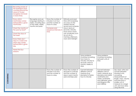|            | Becoming aware of<br>the analogue clock<br>counting around the<br>clock to 12 and<br>recognise and read<br>o'clock times<br>Know which<br>month/day comes<br>before/after a given<br>month/day<br>Chant the months of<br>the year by heart*<br>Chant the days of<br>the week<br>Know there are 7<br>days in a week and<br>which day comes<br>before/after a given<br>day<br>Name the four<br>seasons | Recognise and use<br>language relating to<br>dates, including days<br>of the week, weeks,<br>months and years | Know the number of<br>minutes in an hour<br>and the number of<br>hours in a day<br>Compare and<br>sequence intervals of<br>time | Estimate and read<br>time with increasing<br>accuracy to the<br>nearest minute:<br>record and compare<br>time in terms of<br>seconds, minutes,<br>hours and o'clock;<br>use vocabulary such<br>as a.m./p.m.,<br>morning, afternoon,<br>noon and midnight |                                                                                                                                 |                                                                                                                                                                                                |                                                                                                                                                                                                                            |
|------------|------------------------------------------------------------------------------------------------------------------------------------------------------------------------------------------------------------------------------------------------------------------------------------------------------------------------------------------------------------------------------------------------------|---------------------------------------------------------------------------------------------------------------|---------------------------------------------------------------------------------------------------------------------------------|----------------------------------------------------------------------------------------------------------------------------------------------------------------------------------------------------------------------------------------------------------|---------------------------------------------------------------------------------------------------------------------------------|------------------------------------------------------------------------------------------------------------------------------------------------------------------------------------------------|----------------------------------------------------------------------------------------------------------------------------------------------------------------------------------------------------------------------------|
|            |                                                                                                                                                                                                                                                                                                                                                                                                      |                                                                                                               |                                                                                                                                 |                                                                                                                                                                                                                                                          | Solve problems<br>involving converting<br>from hours to<br>minutes; minutes to<br>seconds; years to<br>months; weeks to<br>days | Solve problems<br>involving converting<br>between units of<br>time                                                                                                                             |                                                                                                                                                                                                                            |
| CONVERTING |                                                                                                                                                                                                                                                                                                                                                                                                      |                                                                                                               | Know the number of<br>minutes in an hour<br>and the number of<br>hours in a day.                                                | Know the number of<br>seconds in a minute<br>and the number of<br>days in each month,<br>year and leap year                                                                                                                                              | Convert between<br>different units of<br>measure (e.g.<br>kilometre to metre;<br>hour to minute)                                | Convert between<br>different units of<br>metric measure (e.g.<br>kilometre and metre;<br>centimetre and<br>metre; centimetre<br>and millimetre; gram<br>and kilogram; litre<br>and millilitre) | Use, read, write and<br>convert between<br>standard units,<br>converting<br>measurements of<br>length, mass, volume<br>and time from a<br>smaller unit of<br>measure to a larger<br>unit, and vice versa,<br>using decimal |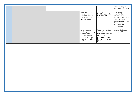|  |  |                                                                                                                                 |                                                                                                                                   | notation to up to<br>three decimal places                                                                                                                                |
|--|--|---------------------------------------------------------------------------------------------------------------------------------|-----------------------------------------------------------------------------------------------------------------------------------|--------------------------------------------------------------------------------------------------------------------------------------------------------------------------|
|  |  | Read, write and<br>convert time<br>between analogue<br>and digital 12 and<br>24-hour clocks                                     | Solve problems<br>involving converting<br>between units of<br>time                                                                | Solve problems<br>involving the<br>calculation and<br>conversion of units of<br>measure, using<br>decimal notation up<br>to three decimal<br>places where<br>appropriate |
|  |  | Solve problems<br>involving converting<br>from hours to<br>minutes; minutes to<br>seconds; years to<br>months; weeks to<br>days | Understand and use<br>equivalences<br>between metric units<br>and common<br>imperial units such as<br>inches, pounds and<br>pints | Convert between<br>miles and kilometres                                                                                                                                  |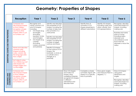# **Geometry: Properties of Shapes**

|                                                | <b>Reception</b>                                                                                                                                                                                                                                                                                                                                                       | Year 1                                                                                                                                                                                                                                                               | Year 2                                                                                                                                                                                                                                                                                                                                                                                              | Year <sub>3</sub>                                                                                                                                    | Year 4                                                                                  | Year 5                                                                                    | Year 6                                                                                                                                                                                                                                    |
|------------------------------------------------|------------------------------------------------------------------------------------------------------------------------------------------------------------------------------------------------------------------------------------------------------------------------------------------------------------------------------------------------------------------------|----------------------------------------------------------------------------------------------------------------------------------------------------------------------------------------------------------------------------------------------------------------------|-----------------------------------------------------------------------------------------------------------------------------------------------------------------------------------------------------------------------------------------------------------------------------------------------------------------------------------------------------------------------------------------------------|------------------------------------------------------------------------------------------------------------------------------------------------------|-----------------------------------------------------------------------------------------|-------------------------------------------------------------------------------------------|-------------------------------------------------------------------------------------------------------------------------------------------------------------------------------------------------------------------------------------------|
| <b>IDENTIFYING SHAPES AND THEIR PROPERTIES</b> | Compose and<br>decompose shapes<br>so that children<br>recognise a shape<br>can have other<br>shapes within it, just<br>as numbers can<br>Name and describe<br>common solid<br>shapes including<br>cube, cuboid. Use<br>the language solid,<br>face, edges<br>Sort objects using<br>two criterias e.g. sort<br>solid shapes into<br>straight edges and<br>curved edges | Recognise and<br>name common 2-D<br>and 3-D shapes,<br>including:<br>2-D shapes [e.g.<br>rectangles<br><i>(including</i><br>squares), circles<br>and triangles]<br>3-D shapes [e.g.<br>$\bullet$<br>cuboids<br><i>(including</i><br>cubes), pyramids<br>and spheres] | Identify and describe<br>the properties of 2-D<br>shapes, including the<br>number of sides and<br>line symmetry in a<br>vertical line<br>Identify and describe<br>the properties of 3-D<br>shapes, including the<br>number of edges,<br>vertices and faces<br>Identify 2-D shapes<br>on the surface of 3-D<br>shapes, [for<br>example, a circle on<br>a cylinder and a<br>triangle on a<br>pyramid] |                                                                                                                                                      | Identify lines of<br>symmetry in 2-D<br>shapes presented in<br>different orientations   | Identify 3-D shapes,<br>including cubes and<br>other cuboids, from<br>2-D representations | Recognise, describe<br>and build simple 3-D<br>shapes, including<br>making nets<br>Illustrate and name<br>parts of circles,<br>including radius,<br>diameter and<br>circumference and<br>know that the<br>diameter is twice the<br>radius |
| DRAWING AND<br>CONSTRUCTING                    | Compose and<br>decompose shapes<br>so that children<br>recognise a shape<br>can have other<br>shapes within it, just<br>as numbers can                                                                                                                                                                                                                                 |                                                                                                                                                                                                                                                                      |                                                                                                                                                                                                                                                                                                                                                                                                     | Draw 2-D shapes<br>and make 3-D<br>shapes using<br>modelling materials;<br>recognise 3-D shapes<br>in different<br>orientations and<br>describe them | Complete a simple<br>symmetric figure with<br>respect to a specific<br>line of symmetry | Draw given angles,<br>and measure them in<br>degrees $(°)$                                | Draw 2-D shapes<br>using given<br>dimensions and<br>angles<br>Recognise, describe<br>and build simple 3-D<br>shapes, including<br>making nets                                                                                             |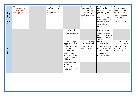| COMPARING AND<br>CLASSIFYING | Classify and sort<br>objects according to<br>a criteria and begin<br>to sort objects using<br>own criteria* | Compare and sort<br>common 2-D and<br>3-D shapes and<br>everyday objects |                                                                                                                                                                                                                                                                                                                        | Compare and<br>classify geometric<br>shapes, including<br>quadrilaterals and<br>triangles, based on<br>their properties and<br>sizes | Use the properties of<br>rectangles to<br>deduce related facts<br>and find missing<br>lengths and angles<br>Distinguish between<br>regular and irregular<br>polygons based on<br>reasoning about<br>equal sides and<br>angles                                                                                             | Compare and<br>classify geometric<br>shapes based on<br>their properties and<br>sizes and find<br>unknown angles in<br>any triangles,<br>quadrilaterals, and<br>regular polygons |
|------------------------------|-------------------------------------------------------------------------------------------------------------|--------------------------------------------------------------------------|------------------------------------------------------------------------------------------------------------------------------------------------------------------------------------------------------------------------------------------------------------------------------------------------------------------------|--------------------------------------------------------------------------------------------------------------------------------------|---------------------------------------------------------------------------------------------------------------------------------------------------------------------------------------------------------------------------------------------------------------------------------------------------------------------------|----------------------------------------------------------------------------------------------------------------------------------------------------------------------------------|
| <b>ANGLES</b>                |                                                                                                             |                                                                          | Recognise angles as<br>a property of shape<br>or a description of a<br>turn<br>Identify right angles,<br>recognise that two<br>right angles make a<br>halfturn, three make<br>three quarters of a<br>turn and four a<br>complete turn;<br>identify whether<br>angles are greater<br>than or less than a<br>right angle | Identify acute and<br>obtuse angles and<br>compare and order<br>angles up to two<br>right angles by size                             | Know angles are<br>measured in<br>degrees: estimate<br>and compare acute,<br>obtuse and reflex<br>angles<br>Identify:<br>angles at a point<br>and one whole<br>turn (total 360°)<br>angles at a point<br>$\bullet$<br>on a straight line<br>and $\frac{1}{2}$ a turn<br>(total $180^\circ$ )<br>other multiples of<br>90° | Recognise angles<br>where they meet at<br>a point, are on a<br>straight line, or are<br>vertically opposite,<br>and find missing<br>angles                                       |
|                              |                                                                                                             |                                                                          | Identify horizontal<br>and vertical lines<br>and pairs of<br>perpendicular and<br>parallel lines                                                                                                                                                                                                                       |                                                                                                                                      |                                                                                                                                                                                                                                                                                                                           |                                                                                                                                                                                  |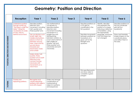#### **Geometry: Position and Direction**

|                                  | <b>Reception</b>                                                                                                                                                   | Year 1                                                                                                                                                                                                                                                                                                                                                                                                                                                                    | Year 2                                                                                                                                                                                                                                                                                                        | Year <sub>3</sub> | Year 4                                                                                                                                                                                              | Year <sub>5</sub>                                                                                                                                                                               | Year 6                                                                                                                                                                              |
|----------------------------------|--------------------------------------------------------------------------------------------------------------------------------------------------------------------|---------------------------------------------------------------------------------------------------------------------------------------------------------------------------------------------------------------------------------------------------------------------------------------------------------------------------------------------------------------------------------------------------------------------------------------------------------------------------|---------------------------------------------------------------------------------------------------------------------------------------------------------------------------------------------------------------------------------------------------------------------------------------------------------------|-------------------|-----------------------------------------------------------------------------------------------------------------------------------------------------------------------------------------------------|-------------------------------------------------------------------------------------------------------------------------------------------------------------------------------------------------|-------------------------------------------------------------------------------------------------------------------------------------------------------------------------------------|
| POSITION, DIRECTION AND MOVEMENT | <b>Understand position</b><br>through words e.g.<br>"The bag is under the<br>table." Using the<br>vocabulary of under,<br>on top, next to,<br>behind and in front. | Describe position,<br>direction and<br>movement, including<br>half, quarter and<br>three-quarter turns<br>Use vocabulary such<br>as left, right, top,<br>middle and bottom,<br>above, in front of,<br>between around,<br>near, close and far,<br>up and down,<br>forwards and<br>backwards, inside<br>and outside<br>Make whole, half,<br>quarter, three-<br>quarter turns in both<br>directions and<br>connect turning<br>clockwise with<br>movements on a<br>clock face | Use mathematical<br>vocabulary to<br>describe position,<br>direction and<br>movement including<br>movement in a<br>straight line and<br>distinguishing<br>between rotation as<br>a turn and in terms of<br>right angles for<br>quarter, half and<br>three-quarter turns<br>(clockwise and anti-<br>clockwise) |                   | Describe positions on<br>a 2-D grid as<br>coordinates in the<br>first quadrant<br>Describe movements<br>between positions as<br>translations of a<br>given unit to the<br>left/right and<br>up/down | Identify, describe<br>and represent the<br>position of a shape<br>following a reflection<br>or translation, using<br>the appropriate<br>language, and know<br>that the shape has<br>not changed | Describe positions on<br>the full coordinate<br>grid (all four<br>quadrants)<br>Draw and translate<br>simple shapes on the<br>coordinate plane,<br>and reflect them in<br>the axes. |
|                                  |                                                                                                                                                                    |                                                                                                                                                                                                                                                                                                                                                                                                                                                                           |                                                                                                                                                                                                                                                                                                               |                   | Plot specified points<br>and draw sides to<br>complete a given<br>polygon                                                                                                                           |                                                                                                                                                                                                 |                                                                                                                                                                                     |
| <b>PATTERN</b>                   | Create own<br>repeating patterns                                                                                                                                   | Recognise and<br>create repeating<br>patterns with objects<br>and with shapes                                                                                                                                                                                                                                                                                                                                                                                             | Order and arrange<br>combinations of<br>mathematical<br>objects in patterns<br>and sequences                                                                                                                                                                                                                  |                   |                                                                                                                                                                                                     |                                                                                                                                                                                                 |                                                                                                                                                                                     |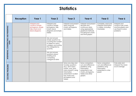#### **Statistics**

|                                           | <b>Reception</b> | Year 1                                                                                        | Year 2                                                                                                                                      | Year <sub>3</sub>                                                                                                                                                                         | Year 4                                                                                                                                            | Year 5                                                                                                   | Year 6                                                                                         |
|-------------------------------------------|------------------|-----------------------------------------------------------------------------------------------|---------------------------------------------------------------------------------------------------------------------------------------------|-------------------------------------------------------------------------------------------------------------------------------------------------------------------------------------------|---------------------------------------------------------------------------------------------------------------------------------------------------|----------------------------------------------------------------------------------------------------------|------------------------------------------------------------------------------------------------|
| AND PRESENTING                            |                  | Interpret and<br>construct simple<br>pictograms, simple<br>tally charts and<br>block diagrams | Interpret and<br>construct simple<br>pictograms, tally<br>charts, block<br>diagrams and simple<br>tables                                    | Interpret and present<br>data using bar<br>charts, pictograms<br>and tables                                                                                                               | Interpret and present<br>discrete and<br>continuous data<br>using appropriate<br>graphical methods,<br>including bar charts<br>and time graphs    | Complete, read and<br>interpret information<br>in tables, including<br>timetables                        | Interpret and<br>construct pie charts<br>and line graphs and<br>use these to solve<br>problems |
| INTERPRETING, CONSTRUCTING<br><b>DATA</b> |                  |                                                                                               | Ask and answer<br>simple questions by<br>counting the number<br>of objects in each<br>category and sorting<br>the categories by<br>quantity |                                                                                                                                                                                           |                                                                                                                                                   |                                                                                                          |                                                                                                |
|                                           |                  |                                                                                               | Ask and answer<br>questions about<br>totalling and<br>comparing<br>categorical data                                                         |                                                                                                                                                                                           |                                                                                                                                                   |                                                                                                          |                                                                                                |
| SOLVING PROBLEMS                          |                  |                                                                                               |                                                                                                                                             | Solve one-step and<br>twostep questions<br>[e.g. 'How many<br>more?' and 'How<br>many fewer?'] using<br>information<br>presented in scaled<br>bar charts and<br>pictograms and<br>tables. | Solve comparison,<br>sum and difference<br>problems using<br>information<br>presented in bar<br>charts, pictograms,<br>tables and other<br>graphs | Solve comparison,<br>sum and difference<br>problems using<br>information<br>presented in a line<br>graph | Calculate and<br>interpret the mean<br>as an average                                           |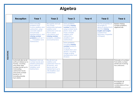### **Algebra**

|           | <b>Reception</b>                                                                                                                                                                                                       | Year 1                                                                                                                                                                                                                                 | Year 2                                                                                                                                                                                            | Year <sub>3</sub>                                                                                                                                                                                                                                             | Year 4 | Year 5                                                                                                                                                                | Year 6                                                                              |
|-----------|------------------------------------------------------------------------------------------------------------------------------------------------------------------------------------------------------------------------|----------------------------------------------------------------------------------------------------------------------------------------------------------------------------------------------------------------------------------------|---------------------------------------------------------------------------------------------------------------------------------------------------------------------------------------------------|---------------------------------------------------------------------------------------------------------------------------------------------------------------------------------------------------------------------------------------------------------------|--------|-----------------------------------------------------------------------------------------------------------------------------------------------------------------------|-------------------------------------------------------------------------------------|
| EQUATIONS |                                                                                                                                                                                                                        | Solve one-step<br>problems that<br>involve addition and<br>subtraction, using<br>concrete objects<br>and pictorial<br>representations, and<br>missing number<br><b>problems</b> such as $7 =$<br>$-$ - 9 (Addition and<br>Subtraction) | Recognise and use<br>the inverse<br>relationship between<br>addition and<br>subtraction and use<br>this to check<br>calculations and<br>missing number<br>problems. (Addition<br>and Subtraction) | Solve problems,<br>including missing<br>number problems,<br>using number facts,<br>place value, and<br>more complex<br>addition and<br>subtraction.<br>(Addition and<br>Subtraction)<br>Solve problems,<br>including missing<br>number problems,<br>involving |        | Use the properties of<br>rectangles to<br>deduce related facts<br>and find missing<br>lengths and angles<br>(copied from<br><b>Geometry: Properties</b><br>of Shapes) | Express missing<br>number problems<br>algebraically                                 |
|           |                                                                                                                                                                                                                        |                                                                                                                                                                                                                                        |                                                                                                                                                                                                   | multiplication and<br>division, including<br>integer scaling<br>(Multiplication and<br>Division)                                                                                                                                                              |        |                                                                                                                                                                       |                                                                                     |
|           | Automatically recall<br>(without reference to<br>rhymes, counting<br>and other aids)<br>number bonds up to<br>5 (including<br>subtraction facts)<br>and some number<br>bonds to 10,<br>including double<br>facts (ELG) | Represent and use<br>number bonds and<br>related subtraction<br>facts within 20<br>(Addition and<br>Subtraction)                                                                                                                       | <b>Recall and use</b><br>addition and<br>subtraction facts to<br>20 fluently, and<br>derive and use<br>related facts up to<br>100 (Addition and<br>Subtraction)                                   |                                                                                                                                                                                                                                                               |        |                                                                                                                                                                       | Find pairs of numbers<br>that satisfy number<br>sentences involving<br>two unknowns |
|           |                                                                                                                                                                                                                        |                                                                                                                                                                                                                                        |                                                                                                                                                                                                   |                                                                                                                                                                                                                                                               |        |                                                                                                                                                                       | Enumerate all<br>possibilities of<br>combinations of two<br>variables               |